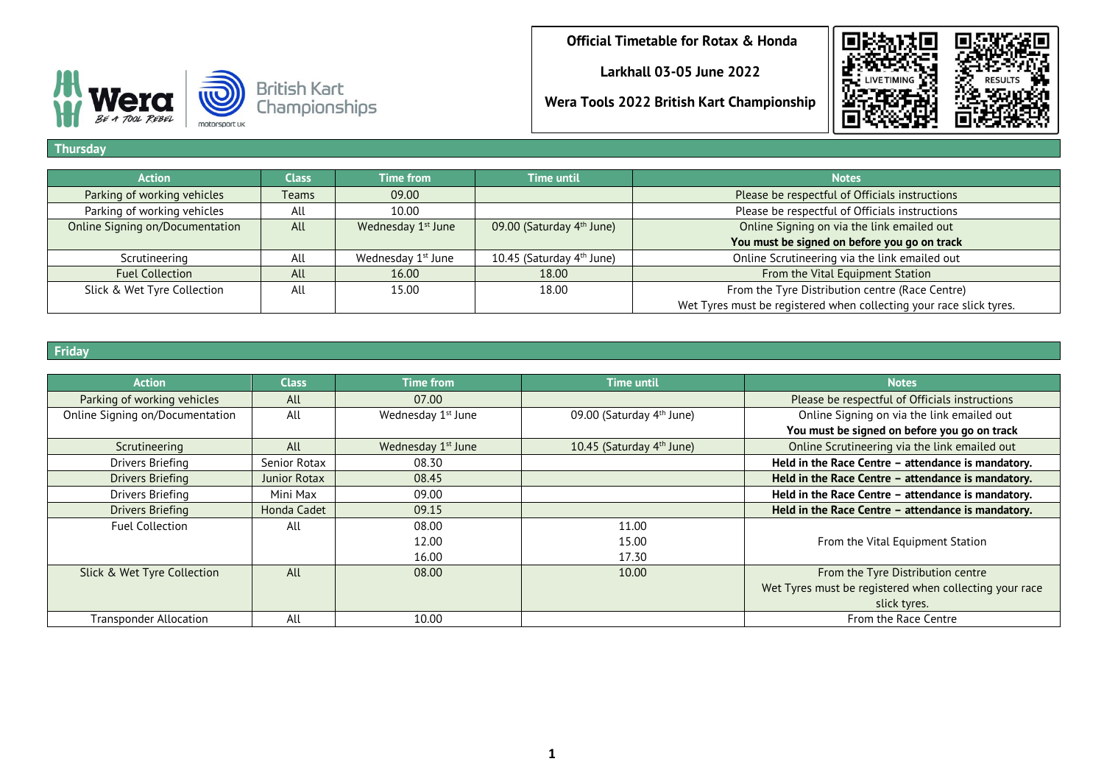**Larkhall 03-05 June 2022**

**Wera Tools 2022 British Kart Championship**





### **Thursday**

| <b>Action</b>                   | <b>Class</b> | <b>Time from</b>               | <b>Time until</b>                     | <b>Notes</b>                                                        |
|---------------------------------|--------------|--------------------------------|---------------------------------------|---------------------------------------------------------------------|
|                                 |              |                                |                                       |                                                                     |
| Parking of working vehicles     | <b>Teams</b> | 09.00                          |                                       | Please be respectful of Officials instructions                      |
| Parking of working vehicles     | All          | 10.00                          |                                       | Please be respectful of Officials instructions                      |
| Online Signing on/Documentation | All          | Wednesday 1 <sup>st</sup> June | 09.00 (Saturday 4 <sup>th</sup> June) | Online Signing on via the link emailed out                          |
|                                 |              |                                |                                       | You must be signed on before you go on track                        |
| Scrutineering                   | All          | Wednesday 1 <sup>st</sup> June | 10.45 (Saturday 4 <sup>th</sup> June) | Online Scrutineering via the link emailed out                       |
| <b>Fuel Collection</b>          | All          | 16.00                          | 18.00                                 | From the Vital Equipment Station                                    |
| Slick & Wet Tyre Collection     | All          | 15.00                          | 18.00                                 | From the Tyre Distribution centre (Race Centre)                     |
|                                 |              |                                |                                       | Wet Tyres must be registered when collecting your race slick tyres. |

## **Friday**

| <b>Action</b>                   | Class        | <b>Time from</b>               | <b>Time until</b>                     | <b>Notes</b>                                           |
|---------------------------------|--------------|--------------------------------|---------------------------------------|--------------------------------------------------------|
| Parking of working vehicles     | All          | 07.00                          |                                       | Please be respectful of Officials instructions         |
| Online Signing on/Documentation | All          | Wednesday 1 <sup>st</sup> June | 09.00 (Saturday 4 <sup>th</sup> June) | Online Signing on via the link emailed out             |
|                                 |              |                                |                                       | You must be signed on before you go on track           |
| Scrutineering                   | All          | Wednesday 1 <sup>st</sup> June | 10.45 (Saturday 4 <sup>th</sup> June) | Online Scrutineering via the link emailed out          |
| Drivers Briefing                | Senior Rotax | 08.30                          |                                       | Held in the Race Centre - attendance is mandatory.     |
| Drivers Briefing                | Junior Rotax | 08.45                          |                                       | Held in the Race Centre - attendance is mandatory.     |
| Drivers Briefing                | Mini Max     | 09.00                          |                                       | Held in the Race Centre - attendance is mandatory.     |
| Drivers Briefing                | Honda Cadet  | 09.15                          |                                       | Held in the Race Centre - attendance is mandatory.     |
| <b>Fuel Collection</b>          | All          | 08.00                          | 11.00                                 |                                                        |
|                                 |              | 12.00                          | 15.00                                 | From the Vital Equipment Station                       |
|                                 |              | 16.00                          | 17.30                                 |                                                        |
| Slick & Wet Tyre Collection     | All          | 08.00                          | 10.00                                 | From the Tyre Distribution centre                      |
|                                 |              |                                |                                       | Wet Tyres must be registered when collecting your race |
|                                 |              |                                |                                       | slick tyres.                                           |
| <b>Transponder Allocation</b>   | All          | 10.00                          |                                       | From the Race Centre                                   |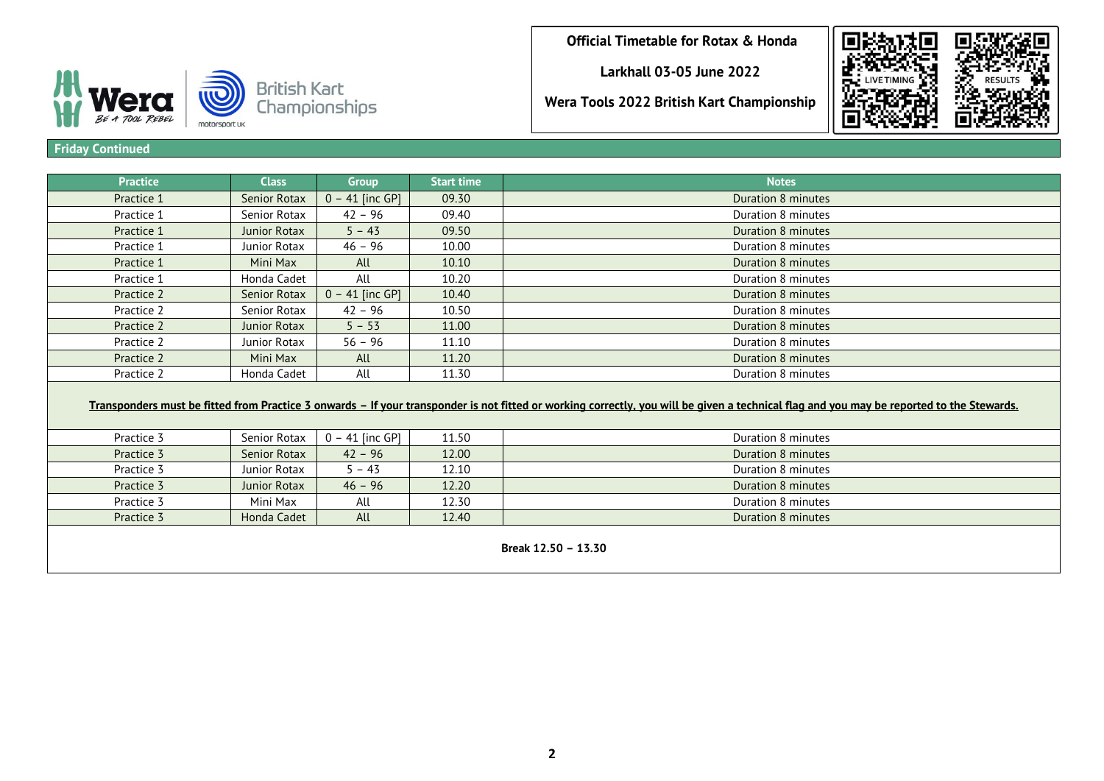**Larkhall 03-05 June 2022**

British Kart<br>Championships **Wera Tools 2022 British Kart Championship**



#### **Friday Continued**

BE A TOOL REBEL

motorsport uk

| <b>Practice</b> | <b>Class</b>        | <b>Group</b>      | <b>Start time</b> | <b>Notes</b>       |
|-----------------|---------------------|-------------------|-------------------|--------------------|
| Practice 1      | <b>Senior Rotax</b> | $0 - 41$ [inc GP] | 09.30             | Duration 8 minutes |
| Practice 1      | Senior Rotax        | $42 - 96$         | 09.40             | Duration 8 minutes |
| Practice 1      | Junior Rotax        | $5 - 43$          | 09.50             | Duration 8 minutes |
| Practice 1      | Junior Rotax        | $46 - 96$         | 10.00             | Duration 8 minutes |
| Practice 1      | Mini Max            | All               | 10.10             | Duration 8 minutes |
| Practice 1      | Honda Cadet         | All               | 10.20             | Duration 8 minutes |
| Practice 2      | <b>Senior Rotax</b> | $0 - 41$ [inc GP] | 10.40             | Duration 8 minutes |
| Practice 2      | Senior Rotax        | $42 - 96$         | 10.50             | Duration 8 minutes |
| Practice 2      | Junior Rotax        | $5 - 53$          | 11.00             | Duration 8 minutes |
| Practice 2      | Junior Rotax        | $56 - 96$         | 11.10             | Duration 8 minutes |
| Practice 2      | Mini Max            | All               | 11.20             | Duration 8 minutes |
| Practice 2      | Honda Cadet         | All               | 11.30             | Duration 8 minutes |
|                 |                     |                   |                   |                    |

# **Transponders must be fitted from Practice 3 onwards – If your transponder is not fitted or working correctly, you will be given a technical flag and you may be reported to the Stewards.**

| Practice 3 | Senior Rotax | $0 - 41$ [inc GP] | 11.50 | Duration 8 minutes               |  |  |  |
|------------|--------------|-------------------|-------|----------------------------------|--|--|--|
| Practice 3 | Senior Rotax | $42 - 96$         | 12.00 | Duration 8 minutes               |  |  |  |
| Practice 3 | Junior Rotax | $5 - 43$          | 12.10 | Duration 8 minutes               |  |  |  |
| Practice 3 | Junior Rotax | $46 - 96$         | 12.20 | Duration 8 minutes               |  |  |  |
| Practice 3 | Mini Max     | All               | 12.30 | Duration 8 minutes               |  |  |  |
| Practice 3 | Honda Cadet  | All               | 12.40 | Duration 8 minutes               |  |  |  |
|            |              |                   |       |                                  |  |  |  |
|            |              |                   |       | $D_{\text{total}}$ , 49 EQ 47 70 |  |  |  |

**Break 12.50 – 13.30**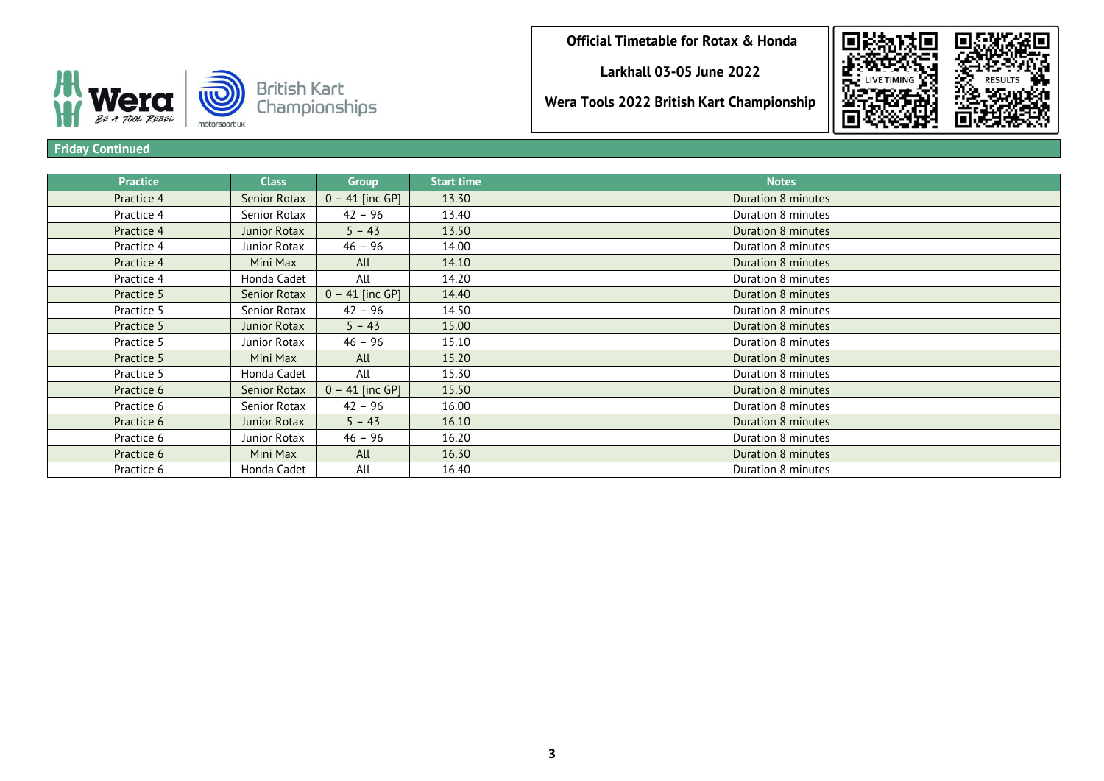**Larkhall 03-05 June 2022**

**Wera Tools 2022 British Kart Championship**





## **Friday Continued**

| <b>Practice</b> | <b>Class</b>        | <b>Group</b>      | <b>Start time</b> | <b>Notes</b>       |
|-----------------|---------------------|-------------------|-------------------|--------------------|
| Practice 4      | <b>Senior Rotax</b> | $0 - 41$ [inc GP] | 13.30             | Duration 8 minutes |
| Practice 4      | Senior Rotax        | $42 - 96$         | 13.40             | Duration 8 minutes |
| Practice 4      | Junior Rotax        | $5 - 43$          | 13.50             | Duration 8 minutes |
| Practice 4      | Junior Rotax        | $46 - 96$         | 14.00             | Duration 8 minutes |
| Practice 4      | Mini Max            | All               | 14.10             | Duration 8 minutes |
| Practice 4      | Honda Cadet         | All               | 14.20             | Duration 8 minutes |
| Practice 5      | Senior Rotax        | $0 - 41$ [inc GP] | 14.40             | Duration 8 minutes |
| Practice 5      | Senior Rotax        | $42 - 96$         | 14.50             | Duration 8 minutes |
| Practice 5      | Junior Rotax        | $5 - 43$          | 15.00             | Duration 8 minutes |
| Practice 5      | Junior Rotax        | $46 - 96$         | 15.10             | Duration 8 minutes |
| Practice 5      | Mini Max            | All               | 15.20             | Duration 8 minutes |
| Practice 5      | Honda Cadet         | All               | 15.30             | Duration 8 minutes |
| Practice 6      | Senior Rotax        | $0 - 41$ [inc GP] | 15.50             | Duration 8 minutes |
| Practice 6      | Senior Rotax        | $42 - 96$         | 16.00             | Duration 8 minutes |
| Practice 6      | Junior Rotax        | $5 - 43$          | 16.10             | Duration 8 minutes |
| Practice 6      | Junior Rotax        | $46 - 96$         | 16.20             | Duration 8 minutes |
| Practice 6      | Mini Max            | All               | 16.30             | Duration 8 minutes |
| Practice 6      | Honda Cadet         | All               | 16.40             | Duration 8 minutes |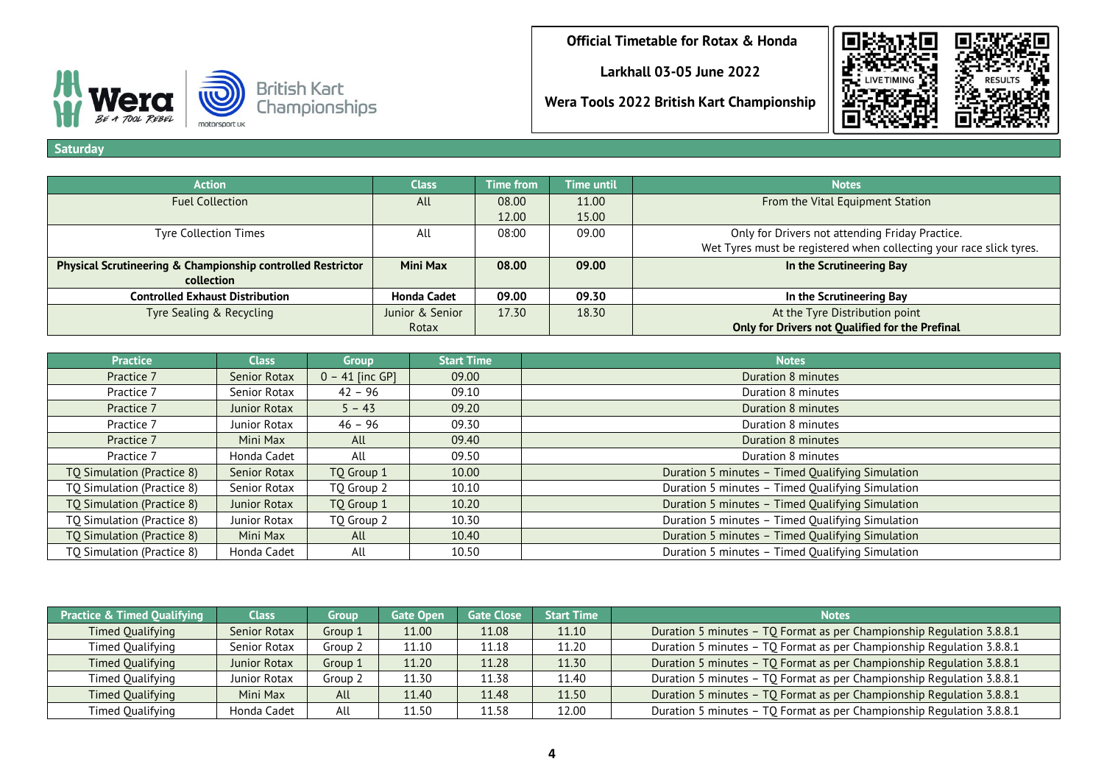**Larkhall 03-05 June 2022**

**Wera Tools 2022 British Kart Championship**



BE A TOOL REBEL motorsport uk

**Saturday**

| <b>Action</b>                                                          | <b>Class</b>       | <b>Time from</b> | Time until | <b>Notes</b>                                                        |
|------------------------------------------------------------------------|--------------------|------------------|------------|---------------------------------------------------------------------|
| <b>Fuel Collection</b>                                                 | All                | 08.00            | 11.00      | From the Vital Equipment Station                                    |
|                                                                        |                    | 12.00            | 15.00      |                                                                     |
| <b>Tyre Collection Times</b>                                           | All                | 08:00            | 09.00      | Only for Drivers not attending Friday Practice.                     |
|                                                                        |                    |                  |            | Wet Tyres must be registered when collecting your race slick tyres. |
| <b>Physical Scrutineering &amp; Championship controlled Restrictor</b> | Mini Max           | 08.00            | 09.00      | In the Scrutineering Bay                                            |
| collection                                                             |                    |                  |            |                                                                     |
| <b>Controlled Exhaust Distribution</b>                                 | <b>Honda Cadet</b> | 09.00            | 09.30      | In the Scrutineering Bay                                            |
| Tyre Sealing & Recycling                                               | Junior & Senior    | 17.30            | 18.30      | At the Tyre Distribution point                                      |
|                                                                        | Rotax              |                  |            | Only for Drivers not Qualified for the Prefinal                     |

| <b>Practice</b>            | <b>Class</b> | <b>Group</b>      | <b>Start Time</b> | <b>Notes</b>                                     |
|----------------------------|--------------|-------------------|-------------------|--------------------------------------------------|
| Practice 7                 | Senior Rotax | $0 - 41$ [inc GP] | 09.00             | Duration 8 minutes                               |
| Practice 7                 | Senior Rotax | $42 - 96$         | 09.10             | Duration 8 minutes                               |
| Practice 7                 | Junior Rotax | $5 - 43$          | 09.20             | Duration 8 minutes                               |
| Practice 7                 | Junior Rotax | $46 - 96$         | 09.30             | Duration 8 minutes                               |
| Practice 7                 | Mini Max     | All               | 09.40             | Duration 8 minutes                               |
| Practice 7                 | Honda Cadet  | All               | 09.50             | Duration 8 minutes                               |
| TQ Simulation (Practice 8) | Senior Rotax | TQ Group 1        | 10.00             | Duration 5 minutes - Timed Qualifying Simulation |
| TQ Simulation (Practice 8) | Senior Rotax | TQ Group 2        | 10.10             | Duration 5 minutes - Timed Qualifying Simulation |
| TQ Simulation (Practice 8) | Junior Rotax | TO Group 1        | 10.20             | Duration 5 minutes - Timed Qualifying Simulation |
| TQ Simulation (Practice 8) | Junior Rotax | TO Group 2        | 10.30             | Duration 5 minutes - Timed Qualifying Simulation |
| TQ Simulation (Practice 8) | Mini Max     | All               | 10.40             | Duration 5 minutes - Timed Qualifying Simulation |
| TQ Simulation (Practice 8) | Honda Cadet  | All               | 10.50             | Duration 5 minutes - Timed Qualifying Simulation |

| <b>Practice &amp; Timed Qualifying</b> | <b>Class</b>        | Group   | <b>Gate Open</b> | <b>Gate Close</b> | <b>Start Time</b> | <b>Notes</b>                                                          |
|----------------------------------------|---------------------|---------|------------------|-------------------|-------------------|-----------------------------------------------------------------------|
| Timed Qualifying                       | Senior Rotax        | Group 1 | 11.00            | 11.08             | 11.10             | Duration 5 minutes - TQ Format as per Championship Regulation 3.8.8.1 |
| Timed Qualifying                       | Senior Rotax        | Group 2 | 11.10            | 11.18             | 11.20             | Duration 5 minutes - TQ Format as per Championship Regulation 3.8.8.1 |
| Timed Qualifying                       | <b>Junior Rotax</b> | Group 1 | 11.20            | 11.28             | 11.30             | Duration 5 minutes - TQ Format as per Championship Regulation 3.8.8.1 |
| <b>Timed Qualifying</b>                | Junior Rotax        | Group 2 | 11.30            | 11.38             | 11.40             | Duration 5 minutes - TQ Format as per Championship Regulation 3.8.8.1 |
| Timed Qualifying                       | Mini Max            | All     | 11.40            | 11.48             | 11.50             | Duration 5 minutes - TQ Format as per Championship Regulation 3.8.8.1 |
| Timed Qualifying                       | Honda Cadet         | All     | 11.50            | 11.58             | 12.00             | Duration 5 minutes - TQ Format as per Championship Regulation 3.8.8.1 |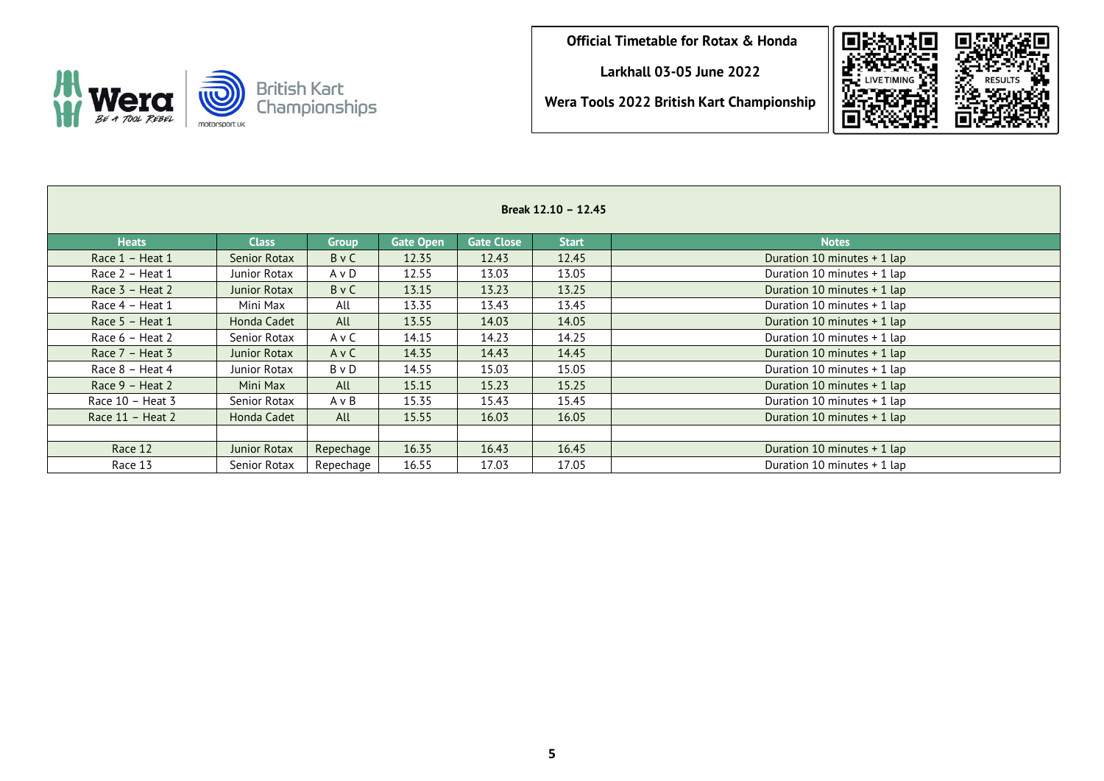**Larkhall 03-05 June 2022**

**Wera Tools 2022 British Kart Championship**





| Break 12.10 - 12.45 |              |              |                  |                   |              |                             |  |  |  |  |
|---------------------|--------------|--------------|------------------|-------------------|--------------|-----------------------------|--|--|--|--|
| <b>Heats</b>        | <b>Class</b> | <b>Group</b> | <b>Gate Open</b> | <b>Gate Close</b> | <b>Start</b> | <b>Notes</b>                |  |  |  |  |
| Race 1 - Heat 1     | Senior Rotax | BvC          | 12.35            | 12.43             | 12.45        | Duration 10 minutes + 1 lap |  |  |  |  |
| Race $2 -$ Heat 1   | Junior Rotax | AvD          | 12.55            | 13.03             | 13.05        | Duration 10 minutes + 1 lap |  |  |  |  |
| Race $3$ – Heat 2   | Junior Rotax | BvC          | 13.15            | 13.23             | 13.25        | Duration 10 minutes + 1 lap |  |  |  |  |
| Race 4 - Heat 1     | Mini Max     | All          | 13.35            | 13.43             | 13.45        | Duration 10 minutes + 1 lap |  |  |  |  |
| Race 5 - Heat 1     | Honda Cadet  | All          | 13.55            | 14.03             | 14.05        | Duration 10 minutes + 1 lap |  |  |  |  |
| Race 6 - Heat 2     | Senior Rotax | A v C        | 14.15            | 14.23             | 14.25        | Duration 10 minutes + 1 lap |  |  |  |  |
| Race $7$ – Heat 3   | Junior Rotax | AvC          | 14.35            | 14.43             | 14.45        | Duration 10 minutes + 1 lap |  |  |  |  |
| Race 8 - Heat 4     | Junior Rotax | B v D        | 14.55            | 15.03             | 15.05        | Duration 10 minutes + 1 lap |  |  |  |  |
| Race 9 - Heat 2     | Mini Max     | All          | 15.15            | 15.23             | 15.25        | Duration 10 minutes + 1 lap |  |  |  |  |
| Race $10$ – Heat 3  | Senior Rotax | A v B        | 15.35            | 15.43             | 15.45        | Duration 10 minutes + 1 lap |  |  |  |  |
| Race $11$ – Heat 2  | Honda Cadet  | All          | 15.55            | 16.03             | 16.05        | Duration 10 minutes + 1 lap |  |  |  |  |
|                     |              |              |                  |                   |              |                             |  |  |  |  |
| Race 12             | Junior Rotax | Repechage    | 16.35            | 16.43             | 16.45        | Duration 10 minutes + 1 lap |  |  |  |  |
| Race 13             | Senior Rotax | Repechage    | 16.55            | 17.03             | 17.05        | Duration 10 minutes + 1 lap |  |  |  |  |